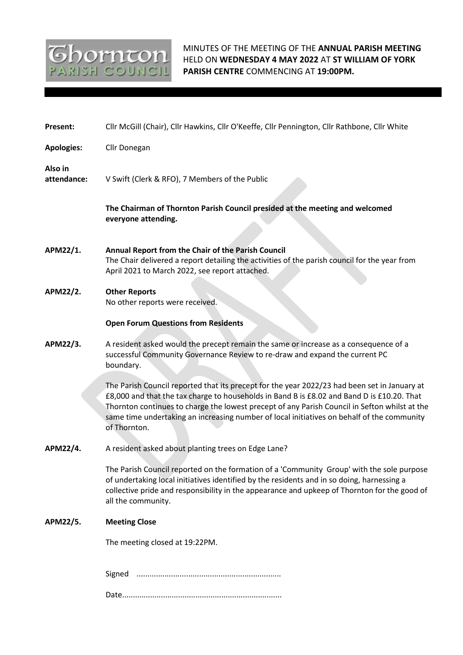

MINUTES OF THE MEETING OF THE **ANNUAL PARISH MEETING**  HELD ON **WEDNESDAY 4 MAY 2022** AT **ST WILLIAM OF YORK PARISH CENTRE** COMMENCING AT **19:00PM.**

| Present:               | Cllr McGill (Chair), Cllr Hawkins, Cllr O'Keeffe, Cllr Pennington, Cllr Rathbone, Cllr White                                                                                                                                                                                                                                                                                                              |
|------------------------|-----------------------------------------------------------------------------------------------------------------------------------------------------------------------------------------------------------------------------------------------------------------------------------------------------------------------------------------------------------------------------------------------------------|
| <b>Apologies:</b>      | Cllr Donegan                                                                                                                                                                                                                                                                                                                                                                                              |
| Also in<br>attendance: | V Swift (Clerk & RFO), 7 Members of the Public                                                                                                                                                                                                                                                                                                                                                            |
|                        | The Chairman of Thornton Parish Council presided at the meeting and welcomed<br>everyone attending.                                                                                                                                                                                                                                                                                                       |
| APM22/1.               | Annual Report from the Chair of the Parish Council<br>The Chair delivered a report detailing the activities of the parish council for the year from<br>April 2021 to March 2022, see report attached.                                                                                                                                                                                                     |
| APM22/2.               | <b>Other Reports</b><br>No other reports were received.                                                                                                                                                                                                                                                                                                                                                   |
|                        | <b>Open Forum Questions from Residents</b>                                                                                                                                                                                                                                                                                                                                                                |
| APM22/3.               | A resident asked would the precept remain the same or increase as a consequence of a<br>successful Community Governance Review to re-draw and expand the current PC<br>boundary.                                                                                                                                                                                                                          |
|                        | The Parish Council reported that its precept for the year 2022/23 had been set in January at<br>£8,000 and that the tax charge to households in Band B is £8.02 and Band D is £10.20. That<br>Thornton continues to charge the lowest precept of any Parish Council in Sefton whilst at the<br>same time undertaking an increasing number of local initiatives on behalf of the community<br>of Thornton. |
| APM22/4.               | A resident asked about planting trees on Edge Lane?                                                                                                                                                                                                                                                                                                                                                       |
|                        | The Parish Council reported on the formation of a 'Community Group' with the sole purpose<br>of undertaking local initiatives identified by the residents and in so doing, harnessing a<br>collective pride and responsibility in the appearance and upkeep of Thornton for the good of<br>all the community.                                                                                             |
| APM22/5.               | <b>Meeting Close</b>                                                                                                                                                                                                                                                                                                                                                                                      |
|                        | The meeting closed at 19:22PM.                                                                                                                                                                                                                                                                                                                                                                            |
|                        |                                                                                                                                                                                                                                                                                                                                                                                                           |
|                        |                                                                                                                                                                                                                                                                                                                                                                                                           |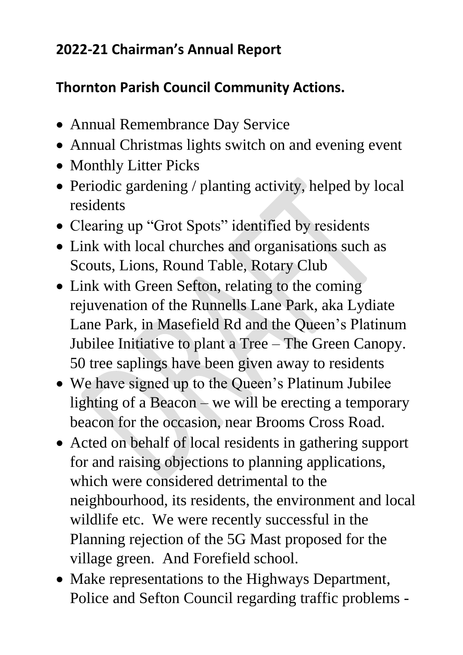## **2022-21 Chairman's Annual Report**

## **Thornton Parish Council Community Actions.**

- Annual Remembrance Day Service
- Annual Christmas lights switch on and evening event
- Monthly Litter Picks
- Periodic gardening / planting activity, helped by local residents
- Clearing up "Grot Spots" identified by residents
- Link with local churches and organisations such as Scouts, Lions, Round Table, Rotary Club
- Link with Green Sefton, relating to the coming rejuvenation of the Runnells Lane Park, aka Lydiate Lane Park, in Masefield Rd and the Queen's Platinum Jubilee Initiative to plant a Tree – The Green Canopy. 50 tree saplings have been given away to residents
- We have signed up to the Queen's Platinum Jubilee lighting of a Beacon – we will be erecting a temporary beacon for the occasion, near Brooms Cross Road.
- Acted on behalf of local residents in gathering support for and raising objections to planning applications, which were considered detrimental to the neighbourhood, its residents, the environment and local wildlife etc. We were recently successful in the Planning rejection of the 5G Mast proposed for the village green. And Forefield school.
- Make representations to the Highways Department, Police and Sefton Council regarding traffic problems -